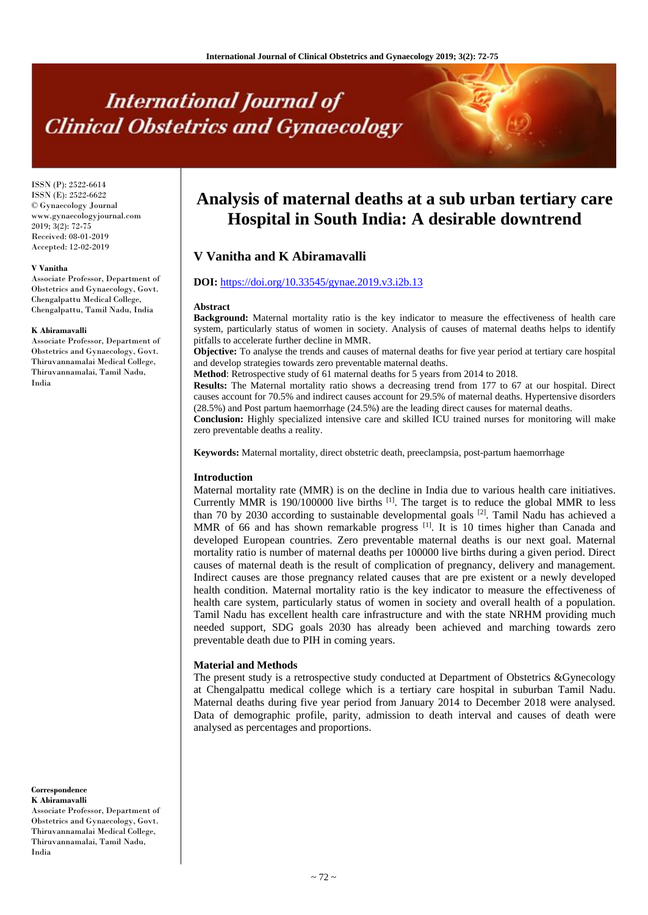# **International Journal of Clinical Obstetrics and Gynaecology**

ISSN (P): 2522-6614 ISSN (E): 2522-6622 © Gynaecology Journal www.gynaecologyjournal.com 2019; 3(2): 72-75 Received: 08-01-2019 Accepted: 12-02-2019

#### **V Vanitha**

Associate Professor, Department of Obstetrics and Gynaecology, Govt. Chengalpattu Medical College, Chengalpattu, Tamil Nadu, India

#### **K Abiramavalli**

Associate Professor, Department of Obstetrics and Gynaecology, Govt. Thiruvannamalai Medical College, Thiruvannamalai, Tamil Nadu, India

**Correspondence K Abiramavalli**

Associate Professor, Department of Obstetrics and Gynaecology, Govt. Thiruvannamalai Medical College, Thiruvannamalai, Tamil Nadu, India

# **Analysis of maternal deaths at a sub urban tertiary care Hospital in South India: A desirable downtrend**

# **V Vanitha and K Abiramavalli**

# **DOI:** <https://doi.org/10.33545/gynae.2019.v3.i2b.13>

#### **Abstract**

**Background:** Maternal mortality ratio is the key indicator to measure the effectiveness of health care system, particularly status of women in society. Analysis of causes of maternal deaths helps to identify pitfalls to accelerate further decline in MMR.

**Objective:** To analyse the trends and causes of maternal deaths for five year period at tertiary care hospital and develop strategies towards zero preventable maternal deaths.

**Method**: Retrospective study of 61 maternal deaths for 5 years from 2014 to 2018.

**Results:** The Maternal mortality ratio shows a decreasing trend from 177 to 67 at our hospital. Direct causes account for 70.5% and indirect causes account for 29.5% of maternal deaths. Hypertensive disorders (28.5%) and Post partum haemorrhage (24.5%) are the leading direct causes for maternal deaths.

**Conclusion:** Highly specialized intensive care and skilled ICU trained nurses for monitoring will make zero preventable deaths a reality.

**Keywords:** Maternal mortality, direct obstetric death, preeclampsia, post-partum haemorrhage

#### **Introduction**

Maternal mortality rate (MMR) is on the decline in India due to various health care initiatives. Currently MMR is  $190/100000$  live births  $^{[1]}$ . The target is to reduce the global MMR to less than 70 by 2030 according to sustainable developmental goals  $[2]$ . Tamil Nadu has achieved a MMR of 66 and has shown remarkable progress  $[1]$ . It is 10 times higher than Canada and developed European countries. Zero preventable maternal deaths is our next goal. Maternal mortality ratio is number of maternal deaths per 100000 live births during a given period. Direct causes of maternal death is the result of complication of pregnancy, delivery and management. Indirect causes are those pregnancy related causes that are pre existent or a newly developed health condition. Maternal mortality ratio is the key indicator to measure the effectiveness of health care system, particularly status of women in society and overall health of a population. Tamil Nadu has excellent health care infrastructure and with the state NRHM providing much needed support, SDG goals 2030 has already been achieved and marching towards zero preventable death due to PIH in coming years.

#### **Material and Methods**

The present study is a retrospective study conducted at Department of Obstetrics &Gynecology at Chengalpattu medical college which is a tertiary care hospital in suburban Tamil Nadu. Maternal deaths during five year period from January 2014 to December 2018 were analysed. Data of demographic profile, parity, admission to death interval and causes of death were analysed as percentages and proportions.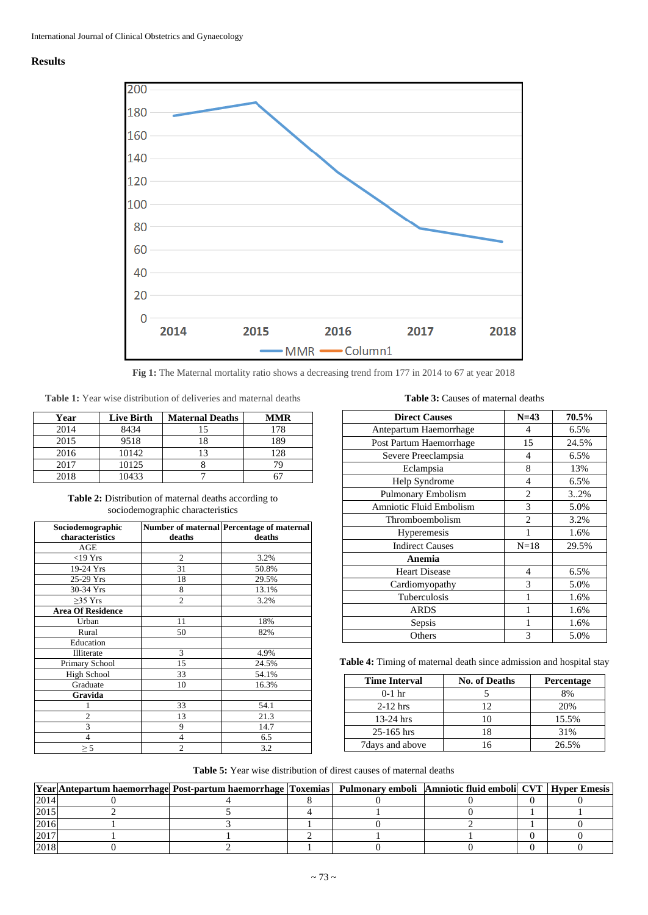## **Results**



**Fig 1:** The Maternal mortality ratio shows a decreasing trend from 177 in 2014 to 67 at year 2018

**Table 1:** Year wise distribution of deliveries and maternal deaths

| Year | <b>Live Birth</b> | <b>Maternal Deaths</b> | <b>MMR</b> |
|------|-------------------|------------------------|------------|
| 2014 | 8434              |                        | 178        |
| 2015 | 9518              |                        | 189        |
| 2016 | 10142             |                        | 128        |
| 2017 | 10125             |                        |            |
| 2018 | 10433             |                        |            |

**Table 2:** Distribution of maternal deaths according to sociodemographic characteristics

| Sociodemographic         |                | Number of maternal Percentage of maternal |
|--------------------------|----------------|-------------------------------------------|
| characteristics          | deaths         | deaths                                    |
| AGE                      |                |                                           |
| $<$ 19 Yrs               | $\overline{2}$ | 3.2%                                      |
| 19-24 Yrs                | 31             | 50.8%                                     |
| 25-29 Yrs                | 18             | 29.5%                                     |
| 30-34 Yrs                | 8              | 13.1%                                     |
| $\geq$ 35 Yrs            | $\overline{c}$ | 3.2%                                      |
| <b>Area Of Residence</b> |                |                                           |
| Urban                    | 11             | 18%                                       |
| Rural                    | 50             | 82%                                       |
| Education                |                |                                           |
| Illiterate               | 3              | 4.9%                                      |
| Primary School           | 15             | 24.5%                                     |
| <b>High School</b>       | 33             | 54.1%                                     |
| Graduate                 | 10             | 16.3%                                     |
| Gravida                  |                |                                           |
|                          | 33             | 54.1                                      |
| $\overline{2}$           | 13             | 21.3                                      |
| 3                        | 9              | 14.7                                      |
| 4                        | 4              | 6.5                                       |
| $\geq$ 5                 | $\overline{c}$ | 3.2                                       |

**Table 3:** Causes of maternal deaths

| <b>Direct Causes</b>    | $N=43$         | 70.5% |
|-------------------------|----------------|-------|
| Antepartum Haemorrhage  | $\overline{4}$ | 6.5%  |
| Post Partum Haemorrhage | 15             | 24.5% |
| Severe Preeclampsia     | 4              | 6.5%  |
| Eclampsia               | 8              | 13%   |
| Help Syndrome           | $\overline{4}$ | 6.5%  |
| Pulmonary Embolism      | $\overline{c}$ | 3.2%  |
| Amniotic Fluid Embolism | 3              | 5.0%  |
| Thromboembolism         | 2              | 3.2%  |
| Hyperemesis             |                | 1.6%  |
| <b>Indirect Causes</b>  | $N=18$         | 29.5% |
| Anemia                  |                |       |
| <b>Heart Disease</b>    | $\overline{4}$ | 6.5%  |
| Cardiomyopathy          | 3              | 5.0%  |
| Tuberculosis            | 1              | 1.6%  |
| <b>ARDS</b>             | 1              | 1.6%  |
| Sepsis                  |                | 1.6%  |
| Others                  | 3              | 5.0%  |

Table 4: Timing of maternal death since admission and hospital stay

| <b>Time Interval</b> | <b>No. of Deaths</b> | <b>Percentage</b> |
|----------------------|----------------------|-------------------|
| $0-1$ hr             |                      | 8%                |
| $2-12$ hrs           | $\mathcal{L}$        | 20%               |
| $13-24$ hrs          |                      | 15.5%             |
| $25 - 165$ hrs       |                      | 31%               |
| 7 days and above     |                      | 26.5%             |

# **Table 5:** Year wise distribution of direst causes of maternal deaths

|       | Year Antepartum haemorrhage Post-partum haemorrhage Toxemias  Pulmonary emboli  Amniotic fluid emboli  CVT   Hyper Emesis |  |  |  |
|-------|---------------------------------------------------------------------------------------------------------------------------|--|--|--|
| 2014  |                                                                                                                           |  |  |  |
| 2015  |                                                                                                                           |  |  |  |
| 2016  |                                                                                                                           |  |  |  |
| 12017 |                                                                                                                           |  |  |  |
| 2018  |                                                                                                                           |  |  |  |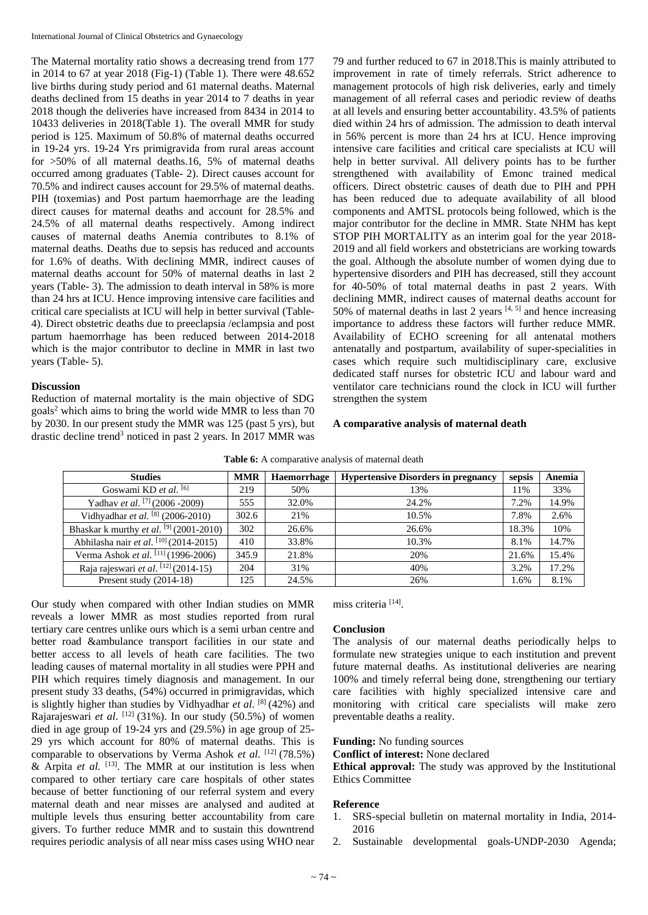The Maternal mortality ratio shows a decreasing trend from 177 in 2014 to 67 at year 2018 (Fig-1) (Table 1). There were 48.652 live births during study period and 61 maternal deaths. Maternal deaths declined from 15 deaths in year 2014 to 7 deaths in year 2018 though the deliveries have increased from 8434 in 2014 to 10433 deliveries in 2018(Table 1). The overall MMR for study period is 125. Maximum of 50.8% of maternal deaths occurred in 19-24 yrs. 19-24 Yrs primigravida from rural areas account for >50% of all maternal deaths.16, 5% of maternal deaths occurred among graduates (Table- 2). Direct causes account for 70.5% and indirect causes account for 29.5% of maternal deaths. PIH (toxemias) and Post partum haemorrhage are the leading direct causes for maternal deaths and account for 28.5% and 24.5% of all maternal deaths respectively. Among indirect causes of maternal deaths Anemia contributes to 8.1% of maternal deaths. Deaths due to sepsis has reduced and accounts for 1.6% of deaths. With declining MMR, indirect causes of maternal deaths account for 50% of maternal deaths in last 2 years (Table- 3). The admission to death interval in 58% is more than 24 hrs at ICU. Hence improving intensive care facilities and critical care specialists at ICU will help in better survival (Table-4). Direct obstetric deaths due to preeclapsia /eclampsia and post partum haemorrhage has been reduced between 2014-2018 which is the major contributor to decline in MMR in last two years (Table- 5).

# **Discussion**

Reduction of maternal mortality is the main objective of SDG goals<sup>2</sup> which aims to bring the world wide MMR to less than 70 by 2030. In our present study the MMR was 125 (past 5 yrs), but drastic decline trend<sup>3</sup> noticed in past 2 years. In 2017 MMR was

79 and further reduced to 67 in 2018.This is mainly attributed to improvement in rate of timely referrals. Strict adherence to management protocols of high risk deliveries, early and timely management of all referral cases and periodic review of deaths at all levels and ensuring better accountability. 43.5% of patients died within 24 hrs of admission. The admission to death interval in 56% percent is more than 24 hrs at ICU. Hence improving intensive care facilities and critical care specialists at ICU will help in better survival. All delivery points has to be further strengthened with availability of Emonc trained medical officers. Direct obstetric causes of death due to PIH and PPH has been reduced due to adequate availability of all blood components and AMTSL protocols being followed, which is the major contributor for the decline in MMR. State NHM has kept STOP PIH MORTALITY as an interim goal for the year 2018- 2019 and all field workers and obstetricians are working towards the goal. Although the absolute number of women dying due to hypertensive disorders and PIH has decreased, still they account for 40-50% of total maternal deaths in past 2 years. With declining MMR, indirect causes of maternal deaths account for 50% of maternal deaths in last 2 years  $[4, 5]$  and hence increasing importance to address these factors will further reduce MMR. Availability of ECHO screening for all antenatal mothers antenatally and postpartum, availability of super-specialities in cases which require such multidisciplinary care, exclusive dedicated staff nurses for obstetric ICU and labour ward and ventilator care technicians round the clock in ICU will further strengthen the system

## **A comparative analysis of maternal death**

| <b>Studies</b>                                            | <b>MMR</b> | Haemorrhage | <b>Hypertensive Disorders in pregnancy</b> | sepsis | Anemia |
|-----------------------------------------------------------|------------|-------------|--------------------------------------------|--------|--------|
| Goswami KD et al. <sup>[6]</sup>                          | 219        | 50%         | 13%                                        | 11%    | 33%    |
| Yadhav et al. <sup>[7]</sup> (2006 -2009)                 | 555        | 32.0%       | 24.2%                                      | 7.2%   | 14.9%  |
| Vidhyadhar et al. $^{[8]}$ (2006-2010)                    | 302.6      | 21%         | 10.5%                                      | 7.8%   | 2.6%   |
| Bhaskar k murthy <i>et al.</i> <sup>[9]</sup> (2001-2010) | 302        | 26.6%       | 26.6%                                      | 18.3%  | 10%    |
| Abhilasha nair <i>et al.</i> $[10]$ (2014-2015)           | 410        | 33.8%       | 10.3%                                      | 8.1%   | 14.7%  |
| Verma Ashok et al. <sup>[11]</sup> (1996-2006)            | 345.9      | 21.8%       | 20%                                        | 21.6%  | 15.4%  |
| Raja rajeswari <i>et al.</i> <sup>[12]</sup> (2014-15)    | 204        | 31%         | 40%                                        | 3.2%   | 17.2%  |
| Present study $(2014-18)$                                 | 125        | 24.5%       | 26%                                        | 1.6%   | 8.1%   |

Table 6: A comparative analysis of maternal death

Our study when compared with other Indian studies on MMR reveals a lower MMR as most studies reported from rural tertiary care centres unlike ours which is a semi urban centre and better road &ambulance transport facilities in our state and better access to all levels of heath care facilities. The two leading causes of maternal mortality in all studies were PPH and PIH which requires timely diagnosis and management. In our present study 33 deaths, (54%) occurred in primigravidas, which is slightly higher than studies by Vidhyadhar et al. <sup>[8]</sup> (42%) and Rajarajeswari *et al.* <sup>[12]</sup> (31%). In our study (50.5%) of women died in age group of 19-24 yrs and (29.5%) in age group of 25- 29 yrs which account for 80% of maternal deaths. This is comparable to observations by Verma Ashok *et al.* [12] (78.5%) & Arpita et al. <sup>[13]</sup>. The MMR at our institution is less when compared to other tertiary care care hospitals of other states because of better functioning of our referral system and every maternal death and near misses are analysed and audited at multiple levels thus ensuring better accountability from care givers. To further reduce MMR and to sustain this downtrend requires periodic analysis of all near miss cases using WHO near

miss criteria [14] .

# **Conclusion**

The analysis of our maternal deaths periodically helps to formulate new strategies unique to each institution and prevent future maternal deaths. As institutional deliveries are nearing 100% and timely referral being done, strengthening our tertiary care facilities with highly specialized intensive care and monitoring with critical care specialists will make zero preventable deaths a reality.

# **Funding:** No funding sources

**Conflict of interest:** None declared

**Ethical approval:** The study was approved by the Institutional Ethics Committee

# **Reference**

- 1. SRS-special bulletin on maternal mortality in India, 2014- 2016
- 2. Sustainable developmental goals-UNDP-2030 Agenda;